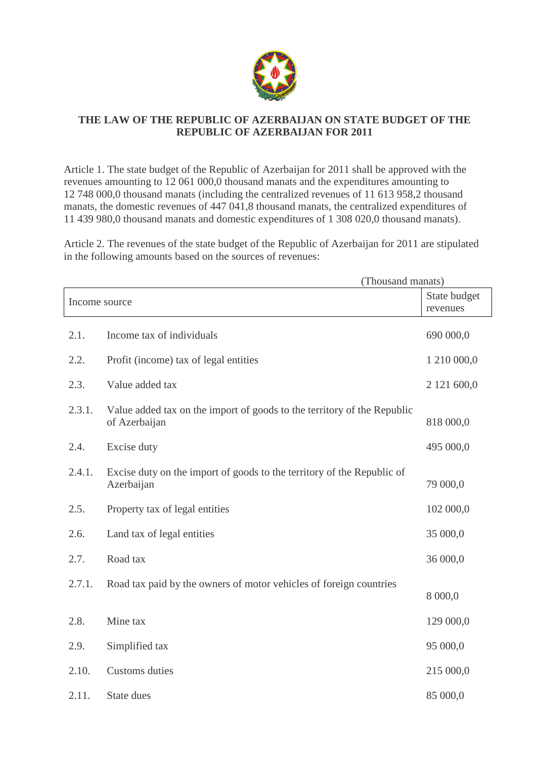

## **THE LAW OF THE REPUBLIC OF AZERBAIJAN ON STATE BUDGET OF THE REPUBLIC OF AZERBAIJAN FOR 2011**

Article 1. The state budget of the Republic of Azerbaijan for 2011 shall be approved with the revenues amounting to 12 061 000,0 thousand manats and the expenditures amounting to 12 748 000,0 thousand manats (including the centralized revenues of 11 613 958,2 thousand manats, the domestic revenues of 447 041,8 thousand manats, the centralized expenditures of 11 439 980,0 thousand manats and domestic expenditures of 1 308 020,0 thousand manats).

Article 2. The revenues of the state budget of the Republic of Azerbaijan for 2011 are stipulated in the following amounts based on the sources of revenues:

|               | (Thousand manats)                                                                        |             |
|---------------|------------------------------------------------------------------------------------------|-------------|
| Income source | State budget<br>revenues                                                                 |             |
| 2.1.          | Income tax of individuals                                                                | 690 000,0   |
| 2.2.          | Profit (income) tax of legal entities                                                    | 1 210 000,0 |
| 2.3.          | Value added tax                                                                          | 2 121 600,0 |
| 2.3.1.        | Value added tax on the import of goods to the territory of the Republic<br>of Azerbaijan | 818 000,0   |
| 2.4.          | Excise duty                                                                              | 495 000,0   |
| 2.4.1.        | Excise duty on the import of goods to the territory of the Republic of<br>Azerbaijan     | 79 000,0    |
| 2.5.          | Property tax of legal entities                                                           | 102 000,0   |
| 2.6.          | Land tax of legal entities                                                               | 35 000,0    |
| 2.7.          | Road tax                                                                                 | 36 000,0    |
| 2.7.1.        | Road tax paid by the owners of motor vehicles of foreign countries                       | 8 000,0     |
| 2.8.          | Mine tax                                                                                 | 129 000,0   |
| 2.9.          | Simplified tax                                                                           | 95 000,0    |
| 2.10.         | Customs duties                                                                           | 215 000,0   |
| 2.11.         | State dues                                                                               | 85 000,0    |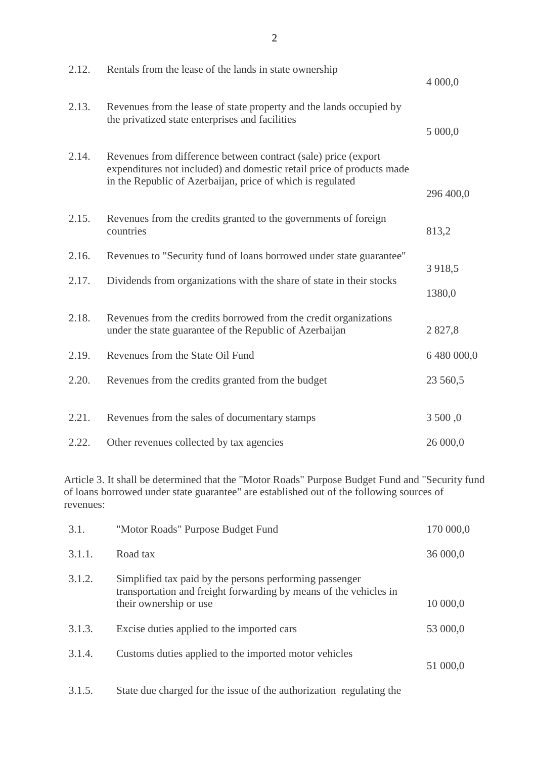| 2.12. | Rentals from the lease of the lands in state ownership                                                                                                                                                | 4 000,0            |
|-------|-------------------------------------------------------------------------------------------------------------------------------------------------------------------------------------------------------|--------------------|
| 2.13. | Revenues from the lease of state property and the lands occupied by<br>the privatized state enterprises and facilities                                                                                | 5 000,0            |
| 2.14. | Revenues from difference between contract (sale) price (export<br>expenditures not included) and domestic retail price of products made<br>in the Republic of Azerbaijan, price of which is regulated | 296 400,0          |
| 2.15. | Revenues from the credits granted to the governments of foreign<br>countries                                                                                                                          | 813,2              |
| 2.16. | Revenues to "Security fund of loans borrowed under state guarantee"                                                                                                                                   |                    |
| 2.17. | Dividends from organizations with the share of state in their stocks                                                                                                                                  | 3 9 18,5<br>1380,0 |
| 2.18. | Revenues from the credits borrowed from the credit organizations<br>under the state guarantee of the Republic of Azerbaijan                                                                           | 2827,8             |
| 2.19. | Revenues from the State Oil Fund                                                                                                                                                                      | 6 480 000,0        |
| 2.20. | Revenues from the credits granted from the budget                                                                                                                                                     | 23 560,5           |
| 2.21. | Revenues from the sales of documentary stamps                                                                                                                                                         | 3 500,0            |
| 2.22. | Other revenues collected by tax agencies                                                                                                                                                              | 26 000,0           |

Article 3. It shall be determined that the "Motor Roads" Purpose Budget Fund and "Security fund of loans borrowed under state guarantee" are established out of the following sources of revenues:

| 3.1.   | "Motor Roads" Purpose Budget Fund                                                                                                                      | 170 000,0 |
|--------|--------------------------------------------------------------------------------------------------------------------------------------------------------|-----------|
| 3.1.1. | Road tax                                                                                                                                               | 36 000,0  |
| 3.1.2. | Simplified tax paid by the persons performing passenger<br>transportation and freight forwarding by means of the vehicles in<br>their ownership or use | 10 000,0  |
| 3.1.3. | Excise duties applied to the imported cars                                                                                                             | 53 000,0  |
| 3.1.4. | Customs duties applied to the imported motor vehicles                                                                                                  | 51 000,0  |

3.1.5. State due charged for the issue of the authorization regulating the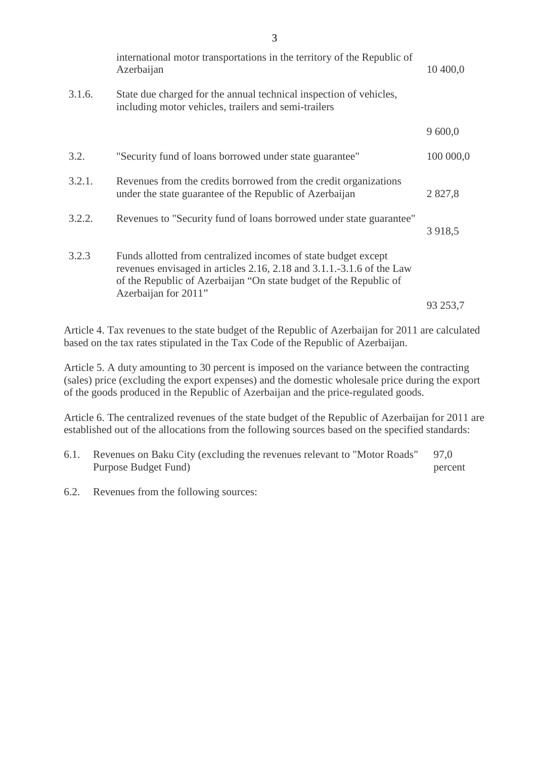|        | international motor transportations in the territory of the Republic of<br>Azerbaijan                                                                                                                                                | 10 400,0    |
|--------|--------------------------------------------------------------------------------------------------------------------------------------------------------------------------------------------------------------------------------------|-------------|
| 3.1.6. | State due charged for the annual technical inspection of vehicles,<br>including motor vehicles, trailers and semi-trailers                                                                                                           |             |
|        |                                                                                                                                                                                                                                      | 9 600,0     |
| 3.2.   | "Security fund of loans borrowed under state guarantee"                                                                                                                                                                              | 100 000,0   |
| 3.2.1. | Revenues from the credits borrowed from the credit organizations<br>under the state guarantee of the Republic of Azerbaijan                                                                                                          | 2 8 2 7 , 8 |
| 3.2.2. | Revenues to "Security fund of loans borrowed under state guarantee"                                                                                                                                                                  | 3 9 18,5    |
| 3.2.3  | Funds allotted from centralized incomes of state budget except<br>revenues envisaged in articles 2.16, 2.18 and 3.1.1.-3.1.6 of the Law<br>of the Republic of Azerbaijan "On state budget of the Republic of<br>Azerbaijan for 2011" |             |
|        |                                                                                                                                                                                                                                      | 93 253,7    |

Article 4. Tax revenues to the state budget of the Republic of Azerbaijan for 2011 are calculated based on the tax rates stipulated in the Tax Code of the Republic of Azerbaijan.

Article 5. A duty amounting to 30 percent is imposed on the variance between the contracting (sales) price (excluding the export expenses) and the domestic wholesale price during the export of the goods produced in the Republic of Azerbaijan and the price-regulated goods.

Article 6. The centralized revenues of the state budget of the Republic of Azerbaijan for 2011 are established out of the allocations from the following sources based on the specified standards:

- 6.1. Revenues on Baku City (excluding the revenues relevant to "Motor Roads" Purpose Budget Fund) 97,0 percent
- 6.2. Revenues from the following sources: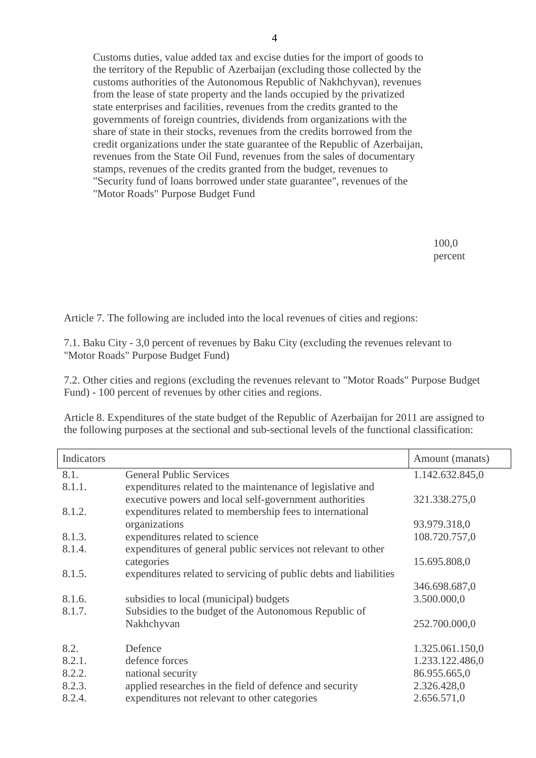4

 Customs duties, value added tax and excise duties for the import of goods to the territory of the Republic of Azerbaijan (excluding those collected by the customs authorities of the Autonomous Republic of Nakhchyvan), revenues from the lease of state property and the lands occupied by the privatized state enterprises and facilities, revenues from the credits granted to the governments of foreign countries, dividends from organizations with the share of state in their stocks, revenues from the credits borrowed from the credit organizations under the state guarantee of the Republic of Azerbaijan, revenues from the State Oil Fund, revenues from the sales of documentary stamps, revenues of the credits granted from the budget, revenues to "Security fund of loans borrowed under state guarantee", revenues of the "Motor Roads" Purpose Budget Fund

> 100,0 percent

Article 7. The following are included into the local revenues of cities and regions:

7.1. Baku City - 3,0 percent of revenues by Baku City (excluding the revenues relevant to "Motor Roads" Purpose Budget Fund)

7.2. Other cities and regions (excluding the revenues relevant to "Motor Roads" Purpose Budget Fund) - 100 percent of revenues by other cities and regions.

Article 8. Expenditures of the state budget of the Republic of Azerbaijan for 2011 are assigned to the following purposes at the sectional and sub-sectional levels of the functional classification:

| Indicators |                                                                   | Amount (manats) |
|------------|-------------------------------------------------------------------|-----------------|
| 8.1.       | <b>General Public Services</b>                                    | 1.142.632.845,0 |
| 8.1.1.     | expenditures related to the maintenance of legislative and        |                 |
|            | executive powers and local self-government authorities            | 321.338.275,0   |
| 8.1.2.     | expenditures related to membership fees to international          |                 |
|            | organizations                                                     | 93.979.318,0    |
| 8.1.3.     | expenditures related to science                                   | 108.720.757,0   |
| 8.1.4.     | expenditures of general public services not relevant to other     |                 |
|            | categories                                                        | 15.695.808,0    |
| 8.1.5.     | expenditures related to servicing of public debts and liabilities |                 |
|            |                                                                   | 346.698.687,0   |
| 8.1.6.     | subsidies to local (municipal) budgets                            | 3.500.000,0     |
| 8.1.7.     | Subsidies to the budget of the Autonomous Republic of             |                 |
|            | Nakhchyvan                                                        | 252.700.000,0   |
| 8.2.       | Defence                                                           | 1.325.061.150,0 |
| 8.2.1.     | defence forces                                                    | 1.233.122.486,0 |
| 8.2.2.     | national security                                                 | 86.955.665,0    |
| 8.2.3.     | applied researches in the field of defence and security           | 2.326.428,0     |
| 8.2.4.     | expenditures not relevant to other categories                     | 2.656.571,0     |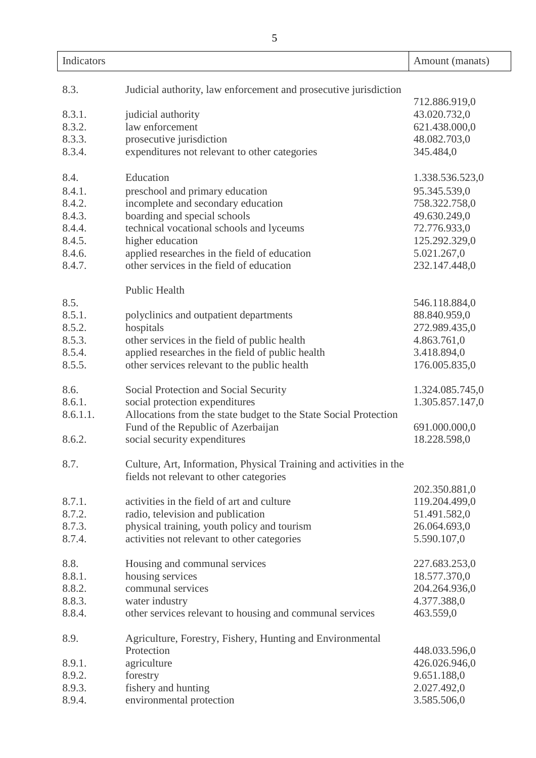| Indicators |                                                                    | Amount (manats) |
|------------|--------------------------------------------------------------------|-----------------|
|            |                                                                    |                 |
| 8.3.       | Judicial authority, law enforcement and prosecutive jurisdiction   |                 |
|            |                                                                    | 712.886.919,0   |
| 8.3.1.     | judicial authority                                                 | 43.020.732,0    |
| 8.3.2.     | law enforcement                                                    | 621.438.000,0   |
| 8.3.3.     | prosecutive jurisdiction                                           | 48.082.703,0    |
| 8.3.4.     | expenditures not relevant to other categories                      | 345.484,0       |
| 8.4.       | Education                                                          | 1.338.536.523,0 |
| 8.4.1.     | preschool and primary education                                    | 95.345.539,0    |
| 8.4.2.     | incomplete and secondary education                                 | 758.322.758,0   |
| 8.4.3.     |                                                                    |                 |
|            | boarding and special schools                                       | 49.630.249,0    |
| 8.4.4.     | technical vocational schools and lyceums                           | 72.776.933,0    |
| 8.4.5.     | higher education                                                   | 125.292.329,0   |
| 8.4.6.     | applied researches in the field of education                       | 5.021.267,0     |
| 8.4.7.     | other services in the field of education                           | 232.147.448,0   |
|            | <b>Public Health</b>                                               |                 |
| 8.5.       |                                                                    | 546.118.884,0   |
| 8.5.1.     | polyclinics and outpatient departments                             | 88.840.959,0    |
| 8.5.2.     | hospitals                                                          | 272.989.435,0   |
| 8.5.3.     | other services in the field of public health                       | 4.863.761,0     |
| 8.5.4.     | applied researches in the field of public health                   | 3.418.894,0     |
| 8.5.5.     | other services relevant to the public health                       | 176.005.835,0   |
|            |                                                                    |                 |
| 8.6.       | Social Protection and Social Security                              | 1.324.085.745,0 |
| 8.6.1.     | social protection expenditures                                     | 1.305.857.147,0 |
| 8.6.1.1.   | Allocations from the state budget to the State Social Protection   |                 |
|            | Fund of the Republic of Azerbaijan                                 | 691.000.000,0   |
| 8.6.2.     | social security expenditures                                       | 18.228.598,0    |
| 8.7.       | Culture, Art, Information, Physical Training and activities in the |                 |
|            | fields not relevant to other categories                            |                 |
|            |                                                                    | 202.350.881,0   |
| 8.7.1.     | activities in the field of art and culture                         | 119.204.499,0   |
| 8.7.2.     | radio, television and publication                                  | 51.491.582,0    |
| 8.7.3.     | physical training, youth policy and tourism                        | 26.064.693,0    |
| 8.7.4.     | activities not relevant to other categories                        | 5.590.107,0     |
|            |                                                                    |                 |
| 8.8.       | Housing and communal services                                      | 227.683.253,0   |
| 8.8.1.     | housing services                                                   | 18.577.370,0    |
| 8.8.2.     | communal services                                                  | 204.264.936,0   |
| 8.8.3.     | water industry                                                     | 4.377.388,0     |
| 8.8.4.     | other services relevant to housing and communal services           | 463.559,0       |
| 8.9.       | Agriculture, Forestry, Fishery, Hunting and Environmental          |                 |
|            | Protection                                                         | 448.033.596,0   |
| 8.9.1.     | agriculture                                                        | 426.026.946,0   |
| 8.9.2.     | forestry                                                           | 9.651.188,0     |
| QQ         | fishery and hunting                                                | 2.027 A92.0     |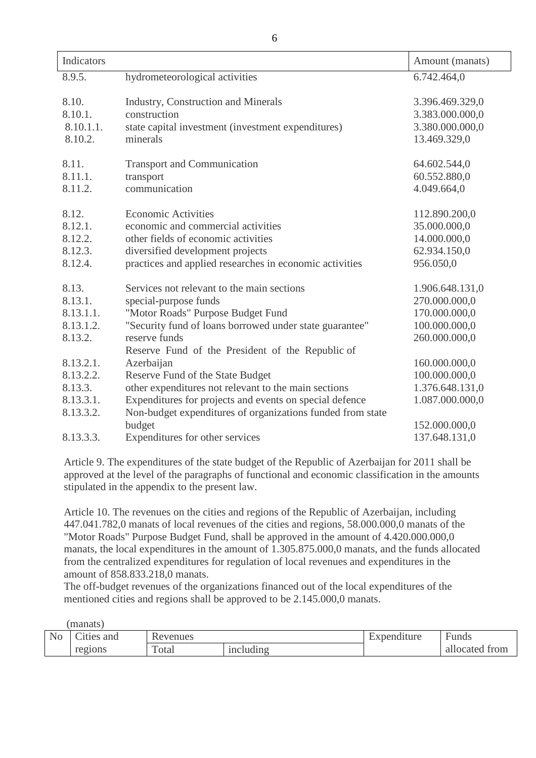| Indicators |                                                            | Amount (manats) |
|------------|------------------------------------------------------------|-----------------|
| 8.9.5.     | hydrometeorological activities                             | 6.742.464,0     |
|            |                                                            |                 |
| 8.10.      | <b>Industry, Construction and Minerals</b>                 | 3.396.469.329,0 |
| 8.10.1.    | construction                                               | 3.383.000.000,0 |
| 8.10.1.1.  | state capital investment (investment expenditures)         | 3.380.000.000,0 |
| 8.10.2.    | minerals                                                   | 13.469.329,0    |
| 8.11.      | <b>Transport and Communication</b>                         | 64.602.544,0    |
| 8.11.1.    | transport                                                  | 60.552.880,0    |
| 8.11.2.    | communication                                              | 4.049.664,0     |
|            |                                                            |                 |
| 8.12.      | <b>Economic Activities</b>                                 | 112.890.200,0   |
| 8.12.1.    | economic and commercial activities                         | 35.000.000,0    |
| 8.12.2.    | other fields of economic activities                        | 14.000.000,0    |
| 8.12.3.    | diversified development projects                           | 62.934.150,0    |
| 8.12.4.    | practices and applied researches in economic activities    | 956.050,0       |
| 8.13.      | Services not relevant to the main sections                 | 1.906.648.131,0 |
| 8.13.1.    | special-purpose funds                                      | 270.000.000,0   |
| 8.13.1.1.  | "Motor Roads" Purpose Budget Fund                          | 170.000.000,0   |
| 8.13.1.2.  | "Security fund of loans borrowed under state guarantee"    | 100.000.000,0   |
| 8.13.2.    | reserve funds                                              | 260.000.000,0   |
|            | Reserve Fund of the President of the Republic of           |                 |
| 8.13.2.1.  | Azerbaijan                                                 | 160.000.000,0   |
| 8.13.2.2.  | Reserve Fund of the State Budget                           | 100.000.000,0   |
| 8.13.3.    | other expenditures not relevant to the main sections       | 1.376.648.131,0 |
| 8.13.3.1.  | Expenditures for projects and events on special defence    | 1.087.000.000,0 |
| 8.13.3.2.  | Non-budget expenditures of organizations funded from state |                 |
|            | budget                                                     | 152.000.000,0   |
| 8.13.3.3.  | Expenditures for other services                            | 137.648.131,0   |
|            |                                                            |                 |

Article 9. The expenditures of the state budget of the Republic of Azerbaijan for 2011 shall be approved at the level of the paragraphs of functional and economic classification in the amounts stipulated in the appendix to the present law.

Article 10. The revenues on the cities and regions of the Republic of Azerbaijan, including 447.041.782,0 manats of local revenues of the cities and regions, 58.000.000,0 manats of the "Motor Roads" Purpose Budget Fund, shall be approved in the amount of 4.420.000.000,0 manats, the local expenditures in the amount of 1.305.875.000,0 manats, and the funds allocated from the centralized expenditures for regulation of local revenues and expenditures in the amount of 858.833.218,0 manats.

The off-budget revenues of the organizations financed out of the local expenditures of the mentioned cities and regions shall be approved to be 2.145.000,0 manats.

|                | manats)  |          |           |             |                |
|----------------|----------|----------|-----------|-------------|----------------|
| N <sub>o</sub> | ties and | Revenues |           | Expenditure | Funds          |
|                | regions  | Total    | including |             | allocated from |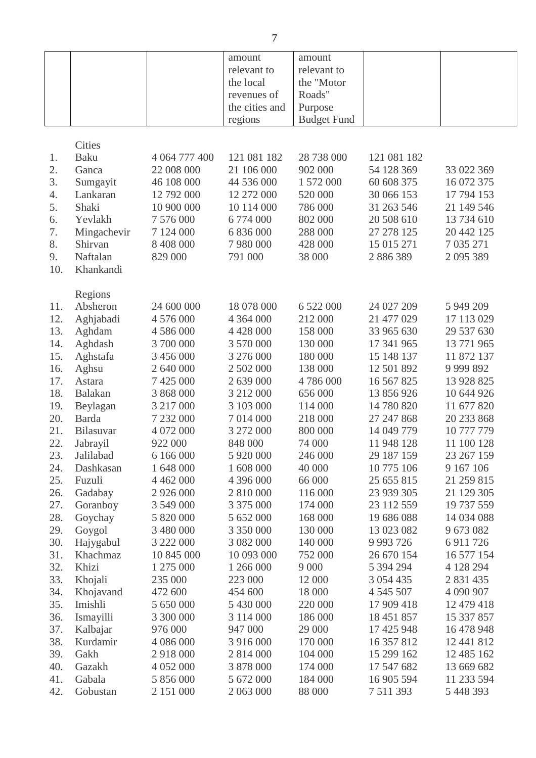|     |               |               | amount         | amount             |               |               |
|-----|---------------|---------------|----------------|--------------------|---------------|---------------|
|     |               |               | relevant to    | relevant to        |               |               |
|     |               |               | the local      | the "Motor         |               |               |
|     |               |               | revenues of    | Roads"             |               |               |
|     |               |               | the cities and | Purpose            |               |               |
|     |               |               | regions        | <b>Budget Fund</b> |               |               |
|     |               |               |                |                    |               |               |
|     | <b>Cities</b> |               |                |                    |               |               |
| 1.  | Baku          | 4 064 777 400 | 121 081 182    | 28 738 000         | 121 081 182   |               |
| 2.  | Ganca         | 22 008 000    | 21 106 000     | 902 000            | 54 128 369    | 33 022 369    |
| 3.  | Sumgayit      | 46 108 000    | 44 536 000     | 1 572 000          | 60 608 375    | 16 072 375    |
| 4.  | Lankaran      | 12 792 000    | 12 272 000     | 520 000            | 30 066 153    | 17 794 153    |
| 5.  | Shaki         | 10 900 000    | 10 114 000     | 786 000            | 31 263 546    | 21 149 546    |
| 6.  | Yevlakh       | 7 576 000     | 6 774 000      | 802 000            | 20 508 610    | 13 734 610    |
| 7.  | Mingachevir   | 7 124 000     | 6 836 000      | 288 000            | 27 278 125    | 20 442 125    |
| 8.  | Shirvan       | 8 408 000     | 7 980 000      | 428 000            | 15 015 271    | 7 035 271     |
| 9.  | Naftalan      | 829 000       | 791 000        | 38 000             | 2 886 389     | 2 095 389     |
| 10. | Khankandi     |               |                |                    |               |               |
|     |               |               |                |                    |               |               |
|     | Regions       |               |                |                    |               |               |
| 11. | Absheron      | 24 600 000    | 18 078 000     | 6 522 000          | 24 027 209    | 5 949 209     |
| 12. | Aghjabadi     | 4 576 000     | 4 3 6 4 0 0 0  | 212 000            | 21 477 029    | 17 113 029    |
| 13. | Aghdam        | 4 586 000     | 4 4 2 8 0 0 0  | 158 000            | 33 965 630    | 29 537 630    |
| 14. | Aghdash       | 3 700 000     | 3 570 000      | 130 000            | 17 341 965    | 13 771 965    |
| 15. | Aghstafa      | 3 456 000     | 3 276 000      | 180 000            | 15 148 137    | 11 872 137    |
| 16. | Aghsu         | 2 640 000     | 2 502 000      | 138 000            | 12 501 892    | 9 9 9 8 8 9 2 |
| 17. | Astara        | 7 425 000     | 2 639 000      | 4786000            | 16 567 825    | 13 928 825    |
| 18. | Balakan       | 3 868 000     | 3 212 000      | 656 000            | 13 856 926    | 10 644 926    |
| 19. | Beylagan      | 3 217 000     | 3 103 000      | 114 000            | 14 780 820    | 11 677 820    |
| 20. | Barda         | 7 232 000     | 7 014 000      | 218 000            | 27 247 868    | 20 233 868    |
| 21. | Bilasuvar     | 4 072 000     | 3 272 000      | 800 000            | 14 049 779    | 10 777 779    |
| 22. | Jabrayil      | 922 000       | 848 000        | 74 000             | 11 948 128    | 11 100 128    |
| 23. | Jalilabad     | 6 166 000     | 5 920 000      | 246 000            | 29 187 159    | 23 267 159    |
| 24. | Dashkasan     | 1 648 000     | 1 608 000      | 40 000             | 10 775 106    | 9 167 106     |
| 25. | Fuzuli        | 4 4 6 2 0 0 0 | 4 396 000      | 66 000             | 25 655 815    | 21 259 815    |
| 26. | Gadabay       | 2 9 2 6 0 0 0 | 2 810 000      | 116 000            | 23 939 305    | 21 129 305    |
| 27. | Goranboy      | 3 549 000     | 3 375 000      | 174 000            | 23 112 559    | 19 737 559    |
| 28. | Goychay       | 5 820 000     | 5 652 000      | 168 000            | 19 686 088    | 14 034 088    |
| 29. | Goygol        | 3 480 000     | 3 350 000      | 130 000            | 13 023 082    | 9 673 082     |
| 30. | Hajygabul     | 3 222 000     | 3 082 000      | 140 000            | 9 9 9 7 2 6   | 6 9 11 7 26   |
| 31. | Khachmaz      | 10 845 000    | 10 093 000     | 752 000            | 26 670 154    | 16 577 154    |
| 32. | Khizi         | 1 275 000     | 1 266 000      | 9 0 0 0            | 5 394 294     | 4 128 294     |
| 33. | Khojali       | 235 000       | 223 000        | 12 000             | 3 0 5 4 4 3 5 | 2 8 3 1 4 3 5 |
| 34. | Khojavand     | 472 600       | 454 600        | 18 000             | 4 545 507     | 4 090 907     |
| 35. | Imishli       | 5 650 000     | 5 430 000      | 220 000            | 17 909 418    | 12 479 418    |
| 36. | Ismayilli     | 3 300 000     | 3 1 1 4 0 0 0  | 186 000            | 18 451 857    | 15 337 857    |
| 37. | Kalbajar      | 976 000       | 947 000        | 29 000             | 17 425 948    | 16 478 948    |
| 38. | Kurdamir      | 4 086 000     | 3 916 000      | 170 000            | 16 357 812    | 12 441 812    |
| 39. | Gakh          | 2 918 000     | 2 814 000      | 104 000            | 15 299 162    | 12 485 162    |
| 40. | Gazakh        | 4 052 000     | 3 878 000      | 174 000            | 17 547 682    | 13 669 682    |
| 41. | Gabala        | 5 856 000     | 5 672 000      | 184 000            | 16 905 594    | 11 233 594    |
| 42. | Gobustan      | 2 151 000     | 2 063 000      | 88 000             | 7 511 393     | 5 448 393     |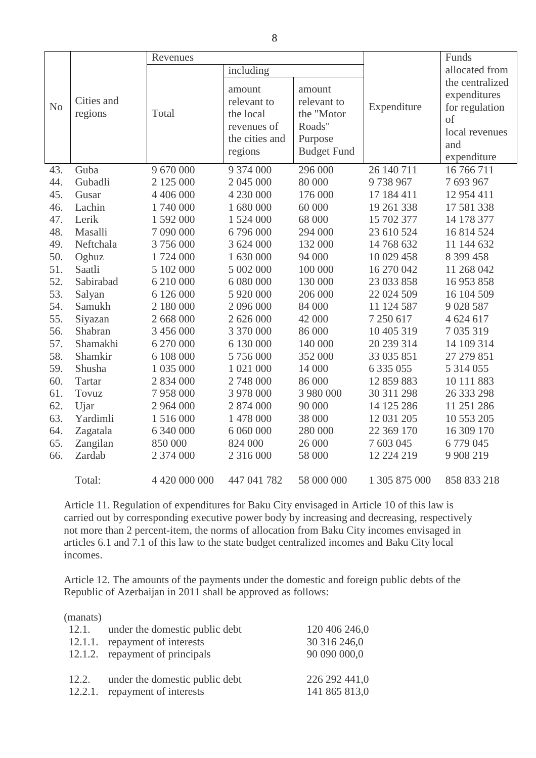|                |               | Revenues      |                |                    |               | Funds           |
|----------------|---------------|---------------|----------------|--------------------|---------------|-----------------|
|                |               |               | including      |                    |               | allocated from  |
|                |               |               |                |                    |               | the centralized |
|                |               |               | amount         | amount             |               | expenditures    |
| N <sub>o</sub> | Cities and    |               | relevant to    | relevant to        | Expenditure   | for regulation  |
|                | regions       | Total         | the local      | the "Motor         |               | of              |
|                |               |               | revenues of    | Roads"             |               | local revenues  |
|                |               |               | the cities and | Purpose            |               | and             |
|                |               |               | regions        | <b>Budget Fund</b> |               | expenditure     |
| 43.            | Guba          | 9 670 000     | 9 374 000      | 296 000            | 26 140 711    | 16 766 711      |
| 44.            | Gubadli       | 2 125 000     | 2 045 000      | 80 000             | 9738967       | 7 693 967       |
| 45.            | Gusar         | 4 406 000     | 4 230 000      | 176 000            | 17 184 411    | 12 954 411      |
| 46.            | Lachin        | 1740 000      | 1 680 000      | 60 000             | 19 261 338    | 17 581 338      |
| 47.            | Lerik         | 1 592 000     | 1 524 000      | 68 000             | 15 702 377    | 14 178 377      |
| 48.            | Masalli       | 7 090 000     | 6796000        | 294 000            | 23 610 524    | 16 814 524      |
| 49.            | Neftchala     | 3756000       | 3 624 000      | 132 000            | 14 768 632    | 11 144 632      |
| 50.            | Oghuz         | 1724 000      | 1 630 000      | 94 000             | 10 029 458    | 8 399 458       |
| 51.            | Saatli        | 5 102 000     | 5 002 000      | 100 000            | 16 270 042    | 11 268 042      |
| 52.            | Sabirabad     | 6 210 000     | 6 080 000      | 130 000            | 23 033 858    | 16 953 858      |
| 53.            | Salyan        | 6 126 000     | 5 920 000      | 206 000            | 22 024 509    | 16 104 509      |
| 54.            | Samukh        | 2 180 000     | 2 096 000      | 84 000             | 11 124 587    | 9 0 28 5 87     |
| 55.            | Siyazan       | 2 668 000     | 2 626 000      | 42 000             | 7 250 617     | 4 624 617       |
| 56.            | Shabran       | 3 456 000     | 3 370 000      | 86 000             | 10 405 319    | 7 035 319       |
| 57.            | Shamakhi      | 6 270 000     | 6 130 000      | 140 000            | 20 239 314    | 14 109 314      |
| 58.            | Shamkir       | 6 108 000     | 5 756 000      | 352 000            | 33 035 851    | 27 279 851      |
| 59.            | Shusha        | 1 035 000     | 1 021 000      | 14 000             | 6 3 3 5 0 5 5 | 5 314 055       |
| 60.            | <b>Tartar</b> | 2 834 000     | 2 748 000      | 86 000             | 12 859 883    | 10 111 883      |
| 61.            | Tovuz         | 7958000       | 3 978 000      | 3 980 000          | 30 311 298    | 26 333 298      |
| 62.            | Ujar          | 2 964 000     | 2 874 000      | 90 000             | 14 125 286    | 11 251 286      |
| 63.            | Yardimli      | 1 516 000     | 1 478 000      | 38 000             | 12 031 205    | 10 553 205      |
| 64.            | Zagatala      | 6 340 000     | 6 060 000      | 280 000            | 22 369 170    | 16 309 170      |
| 65.            | Zangilan      | 850 000       | 824 000        | 26 000             | 7 603 045     | 6779045         |
| 66.            | Zardab        | 2 374 000     | 2 316 000      | 58 000             | 12 224 219    | 9 9 08 219      |
|                | Total:        | 4 420 000 000 | 447 041 782    | 58 000 000         | 1 305 875 000 | 858 833 218     |

Article 11. Regulation of expenditures for Baku City envisaged in Article 10 of this law is carried out by corresponding executive power body by increasing and decreasing, respectively not more than 2 percent-item, the norms of allocation from Baku City incomes envisaged in articles 6.1 and 7.1 of this law to the state budget centralized incomes and Baku City local incomes.

Article 12. The amounts of the payments under the domestic and foreign public debts of the Republic of Azerbaijan in 2011 shall be approved as follows:

| (manats)<br>12.1.<br>12.1.1.<br>12.1.2. | under the domestic public debt<br>repayment of interests<br>repayment of principals | 120 406 246,0<br>30 316 246,0<br>90 090 000,0 |
|-----------------------------------------|-------------------------------------------------------------------------------------|-----------------------------------------------|
| 12.2.                                   | under the domestic public debt                                                      | 226 292 441,0                                 |
| 12.2.1.                                 | repayment of interests                                                              | 141 865 813,0                                 |